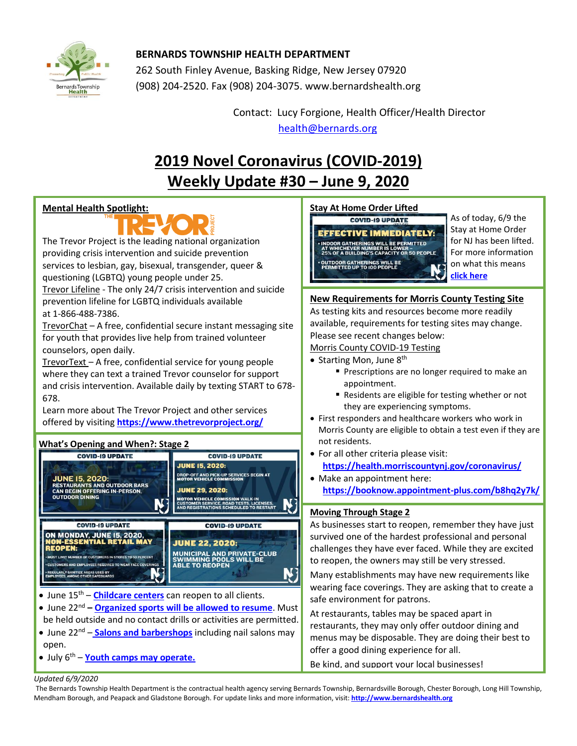

# **BERNARDS TOWNSHIP HEALTH DEPARTMENT**

262 South Finley Avenue, Basking Ridge, New Jersey 07920 (908) 204-2520. Fax (908) 204-3075[. www.bernardshealth.org](http://www.bernardshealth.org/)

> Contact: Lucy Forgione, Health Officer/Health Director [health@bernards.org](mailto:health@bernards.org)

# **2019 Novel Coronavirus (COVID-2019) Weekly Update #30 – June 9, 2020**

## **Mental Health Spotlight:**



The Trevor Project is the leading national organization providing crisis intervention and suicide prevention services to lesbian, gay, bisexual, transgender, queer & questioning (LGBTQ) young people under 25.

Trevor Lifeline - The only 24/7 crisis intervention and suicide prevention lifeline for LGBTQ individuals available at 1-866-488-7386.

TrevorChat - A free, confidential secure instant messaging site for youth that provides live help from trained volunteer counselors, open daily.

TrevorText – A free, confidential service for young people where they can text a trained Trevor counselor for support and crisis intervention. Available daily by texting START to 678- 678.

Learn more about The Trevor Project and other services offered by visiting **<https://www.thetrevorproject.org/>**

## **What's Opening and When?: Stage 2**



- June 15<sup>th</sup> **[Childcare centers](https://www.nj.gov/infobank/eo/056murphy/pdf/EO-149.pdf)** can reopen to all clients.
- June 22<sup>nd</sup> **[Organized sports will be allowed to resume](https://www.nj.gov/infobank/eo/056murphy/pdf/EO-149.pdf)**. Must
- be held outside and no contact drills or activities are permitted.
- June 22<sup>nd</sup> **[Salons and barbershops](https://www.nj.com/coronavirus/2020/06/nj-nail-salons-can-reopen-along-with-hair-salons-and-barber-shops-on-june-22.html)** including nail salons may open.
- July 6th **Youth camps [may operate.](https://www.nj.gov/infobank/eo/056murphy/pdf/EO-149.pdf)**

# **Stay At Home Order Lifted**

**COVID-19 UPDATE EFFECTIVE IMMEDIATELY: INDOOR GATHERINGS WILL BE PERMITTED<br>AT WHICHEVER NUMBER IS LOWER -<br>25% OF A BUILDING'S CAPACITY OR 50 PEOPLE OUTDOOR GATHERINGS WILL BE<br>PERMITTED UP TO 100 PEOPLE** 

As of today, 6/9 the Stay at Home Order for NJ has been lifted. For more information on what this means **[click here](https://www.nj.com/coronavirus/2020/06/nj-coronavirus-stay-at-home-order-lifted-by-murphy-as-state-reopening-moves-forward.html)**

# **New Requirements for Morris County Testing Site**

As testing kits and resources become more readily available, requirements for testing sites may change. Please see recent changes below:

#### Morris County COVID-19 Testing

- Starting Mon, June  $8<sup>th</sup>$ 
	- **Prescriptions are no longer required to make an** appointment.
	- Residents are eligible for testing whether or not they are experiencing symptoms.
- First responders and healthcare workers who work in Morris County are eligible to obtain a test even if they are not residents.
- For all other criteria please visit: **<https://health.morriscountynj.gov/coronavirus/>**
- Make an appointment here: **<https://booknow.appointment-plus.com/b8hq2y7k/>**

## **Moving Through Stage 2**

As businesses start to reopen, remember they have just survived one of the hardest professional and personal challenges they have ever faced. While they are excited to reopen, the owners may still be very stressed.

Many establishments may have new requirements like wearing face coverings. They are asking that to create a safe environment for patrons.

At restaurants, tables may be spaced apart in restaurants, they may only offer outdoor dining and menus may be disposable. They are doing their best to offer a good dining experience for all.

Be kind, and support your local businesses!

#### *Updated 6/9/2020*

The Bernards Township Health Department is the contractual health agency serving Bernards Township, Bernardsville Borough, Chester Borough, Long Hill Township, Mendham Borough, and Peapack and Gladstone Borough. For update links and more information, visit: **[http://www.bernardshealth.org](http://www.bernardshealth.org/)**